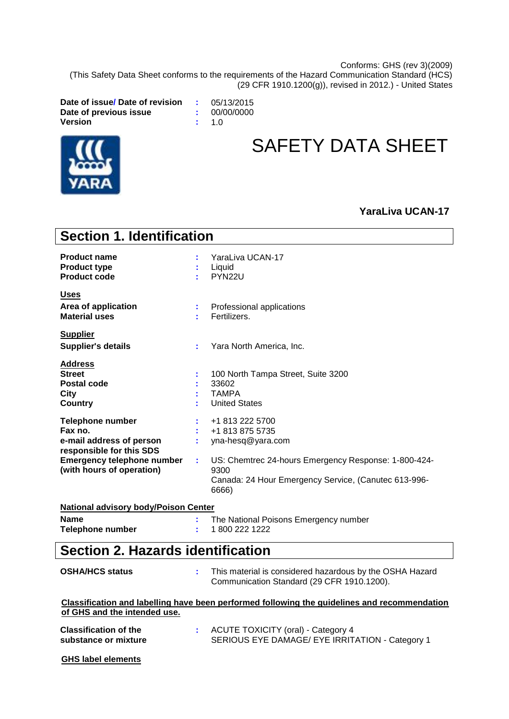Conforms: GHS (rev 3)(2009)

(This Safety Data Sheet conforms to the requirements of the Hazard Communication Standard (HCS) (29 CFR 1910.1200(g)), revised in 2012.) - United States

**Date of issue/ Date of revision :** 05/13/2015 **Date of previous issue :** 00/00/0000  $V$ ersion



# SAFETY DATA SHEET

### **YaraLiva UCAN-17**

| <b>Section 1. Identification</b>                                                                                                                      |    |                                                                                                                                                                                          |
|-------------------------------------------------------------------------------------------------------------------------------------------------------|----|------------------------------------------------------------------------------------------------------------------------------------------------------------------------------------------|
| <b>Product name</b><br><b>Product type</b><br><b>Product code</b>                                                                                     |    | YaraLiva UCAN-17<br>Liquid<br>PYN22U                                                                                                                                                     |
| <b>Uses</b><br>Area of application<br><b>Material uses</b>                                                                                            |    | Professional applications<br>Fertilizers.                                                                                                                                                |
| <b>Supplier</b><br><b>Supplier's details</b>                                                                                                          | ÷. | Yara North America, Inc.                                                                                                                                                                 |
| <b>Address</b><br><b>Street</b><br>Postal code<br>City<br><b>Country</b>                                                                              |    | 100 North Tampa Street, Suite 3200<br>33602<br><b>TAMPA</b><br><b>United States</b>                                                                                                      |
| Telephone number<br>Fax no.<br>e-mail address of person<br>responsible for this SDS<br><b>Emergency telephone number</b><br>(with hours of operation) | t. | +1 813 222 5700<br>+1 813 875 5735<br>yna-hesq@yara.com<br>US: Chemtrec 24-hours Emergency Response: 1-800-424-<br>9300<br>Canada: 24 Hour Emergency Service, (Canutec 613-996-<br>6666) |
| <b>National advisory body/Poison Center</b><br><b>Name</b><br><b>Telephone number</b>                                                                 |    | The National Poisons Emergency number<br>1800 222 1222                                                                                                                                   |
| <b>Section 2. Hazards identification</b>                                                                                                              |    |                                                                                                                                                                                          |
| <b>OSHA/HCS status</b>                                                                                                                                |    | This material is considered hazardous by the OSHA Hazard                                                                                                                                 |

#### **Classification and labelling have been performed following the guidelines and recommendation of GHS and the intended use.**

Communication Standard (29 CFR 1910.1200).

| <b>Classification of the</b> | : ACUTE TOXICITY (oral) - Category 4            |  |
|------------------------------|-------------------------------------------------|--|
| substance or mixture         | SERIOUS EYE DAMAGE/ EYE IRRITATION - Category 1 |  |

**GHS label elements**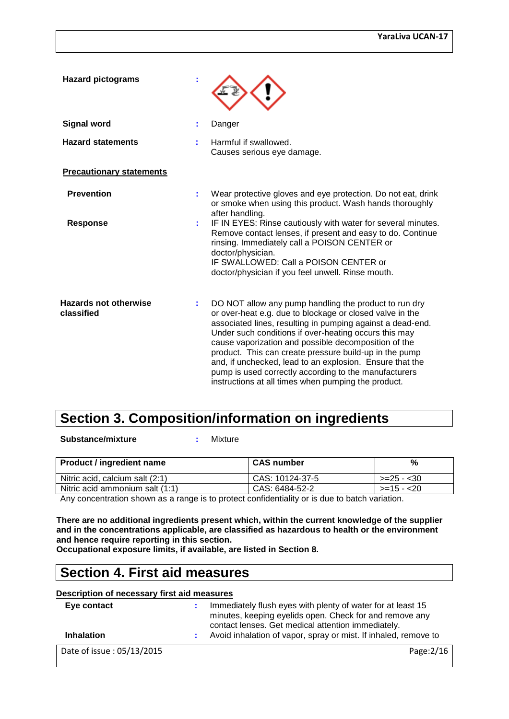| <b>Hazard pictograms</b>                   |                                                                                                                                                                                                                                                                                                                                                                                                                                                                                                                                        |
|--------------------------------------------|----------------------------------------------------------------------------------------------------------------------------------------------------------------------------------------------------------------------------------------------------------------------------------------------------------------------------------------------------------------------------------------------------------------------------------------------------------------------------------------------------------------------------------------|
| <b>Signal word</b>                         | Danger                                                                                                                                                                                                                                                                                                                                                                                                                                                                                                                                 |
| <b>Hazard statements</b>                   | Harmful if swallowed.<br>Causes serious eye damage.                                                                                                                                                                                                                                                                                                                                                                                                                                                                                    |
| <b>Precautionary statements</b>            |                                                                                                                                                                                                                                                                                                                                                                                                                                                                                                                                        |
| <b>Prevention</b>                          | Wear protective gloves and eye protection. Do not eat, drink<br>or smoke when using this product. Wash hands thoroughly<br>after handling.<br>IF IN EYES: Rinse cautiously with water for several minutes.                                                                                                                                                                                                                                                                                                                             |
| <b>Response</b>                            | Remove contact lenses, if present and easy to do. Continue<br>rinsing. Immediately call a POISON CENTER or<br>doctor/physician.<br>IF SWALLOWED: Call a POISON CENTER or<br>doctor/physician if you feel unwell. Rinse mouth.                                                                                                                                                                                                                                                                                                          |
| <b>Hazards not otherwise</b><br>classified | DO NOT allow any pump handling the product to run dry<br>or over-heat e.g. due to blockage or closed valve in the<br>associated lines, resulting in pumping against a dead-end.<br>Under such conditions if over-heating occurs this may<br>cause vaporization and possible decomposition of the<br>product. This can create pressure build-up in the pump<br>and, if unchecked, lead to an explosion. Ensure that the<br>pump is used correctly according to the manufacturers<br>instructions at all times when pumping the product. |

## **Section 3. Composition/information on ingredients**

**Substance/mixture :** Mixture

| <b>Product / ingredient name</b> | <b>CAS number</b> | %           |
|----------------------------------|-------------------|-------------|
| Nitric acid, calcium salt (2:1)  | CAS: 10124-37-5   | >=25 - <30  |
| Nitric acid ammonium salt (1:1)  | CAS: 6484-52-2    | $>=15 - 20$ |
|                                  |                   |             |

Any concentration shown as a range is to protect confidentiality or is due to batch variation.

**There are no additional ingredients present which, within the current knowledge of the supplier and in the concentrations applicable, are classified as hazardous to health or the environment and hence require reporting in this section.**

**Occupational exposure limits, if available, are listed in Section 8.**

# **Section 4. First aid measures**

#### **Description of necessary first aid measures**

| Eye contact               | Immediately flush eyes with plenty of water for at least 15<br>minutes, keeping eyelids open. Check for and remove any<br>contact lenses. Get medical attention immediately. |
|---------------------------|------------------------------------------------------------------------------------------------------------------------------------------------------------------------------|
| <b>Inhalation</b>         | Avoid inhalation of vapor, spray or mist. If inhaled, remove to                                                                                                              |
| Date of issue: 05/13/2015 | Page: 2/16                                                                                                                                                                   |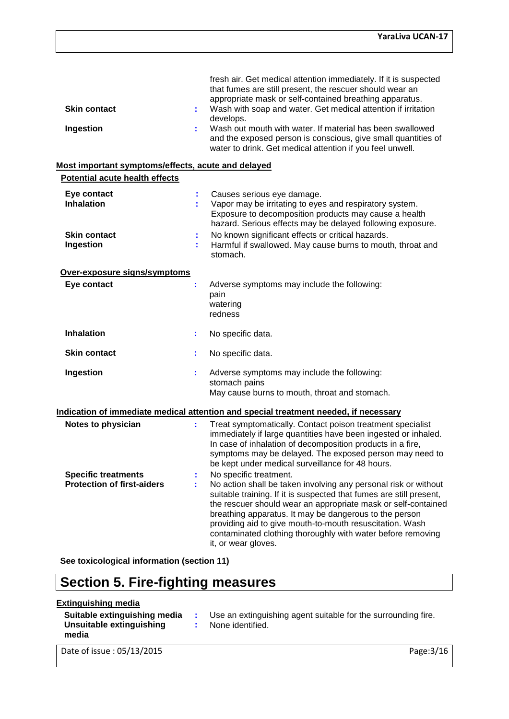| <b>Skin contact</b>                                             |    | fresh air. Get medical attention immediately. If it is suspected<br>that fumes are still present, the rescuer should wear an<br>appropriate mask or self-contained breathing apparatus.<br>Wash with soap and water. Get medical attention if irritation                                                                                                                                                                                      |
|-----------------------------------------------------------------|----|-----------------------------------------------------------------------------------------------------------------------------------------------------------------------------------------------------------------------------------------------------------------------------------------------------------------------------------------------------------------------------------------------------------------------------------------------|
|                                                                 |    | develops.                                                                                                                                                                                                                                                                                                                                                                                                                                     |
| Ingestion                                                       |    | Wash out mouth with water. If material has been swallowed<br>and the exposed person is conscious, give small quantities of<br>water to drink. Get medical attention if you feel unwell.                                                                                                                                                                                                                                                       |
| Most important symptoms/effects, acute and delayed              |    |                                                                                                                                                                                                                                                                                                                                                                                                                                               |
| <b>Potential acute health effects</b>                           |    |                                                                                                                                                                                                                                                                                                                                                                                                                                               |
| Eye contact<br><b>Inhalation</b>                                |    | Causes serious eye damage.<br>Vapor may be irritating to eyes and respiratory system.<br>Exposure to decomposition products may cause a health<br>hazard. Serious effects may be delayed following exposure.                                                                                                                                                                                                                                  |
| <b>Skin contact</b><br>Ingestion                                |    | No known significant effects or critical hazards.<br>Harmful if swallowed. May cause burns to mouth, throat and<br>stomach.                                                                                                                                                                                                                                                                                                                   |
| Over-exposure signs/symptoms                                    |    |                                                                                                                                                                                                                                                                                                                                                                                                                                               |
| Eye contact                                                     | t, | Adverse symptoms may include the following:<br>pain<br>watering<br>redness                                                                                                                                                                                                                                                                                                                                                                    |
| <b>Inhalation</b>                                               | ÷. | No specific data.                                                                                                                                                                                                                                                                                                                                                                                                                             |
| <b>Skin contact</b>                                             |    | No specific data.                                                                                                                                                                                                                                                                                                                                                                                                                             |
| Ingestion                                                       |    | Adverse symptoms may include the following:<br>stomach pains<br>May cause burns to mouth, throat and stomach.                                                                                                                                                                                                                                                                                                                                 |
|                                                                 |    | Indication of immediate medical attention and special treatment needed, if necessary                                                                                                                                                                                                                                                                                                                                                          |
| Notes to physician                                              |    | Treat symptomatically. Contact poison treatment specialist<br>immediately if large quantities have been ingested or inhaled.<br>In case of inhalation of decomposition products in a fire,<br>symptoms may be delayed. The exposed person may need to<br>be kept under medical surveillance for 48 hours.                                                                                                                                     |
| <b>Specific treatments</b><br><b>Protection of first-aiders</b> | ÷. | No specific treatment.<br>No action shall be taken involving any personal risk or without<br>suitable training. If it is suspected that fumes are still present,<br>the rescuer should wear an appropriate mask or self-contained<br>breathing apparatus. It may be dangerous to the person<br>providing aid to give mouth-to-mouth resuscitation. Wash<br>contaminated clothing thoroughly with water before removing<br>it, or wear gloves. |

**See toxicological information (section 11)**

# **Section 5. Fire-fighting measures**

#### **Extinguishing media**

| Suitable extinguishing media<br>Unsuitable extinguishing<br>media | Use an extinguishing agent suitable for the surrounding fire.<br>None identified. |
|-------------------------------------------------------------------|-----------------------------------------------------------------------------------|
| Date of issue: 05/13/2015                                         | Page: $3/16$                                                                      |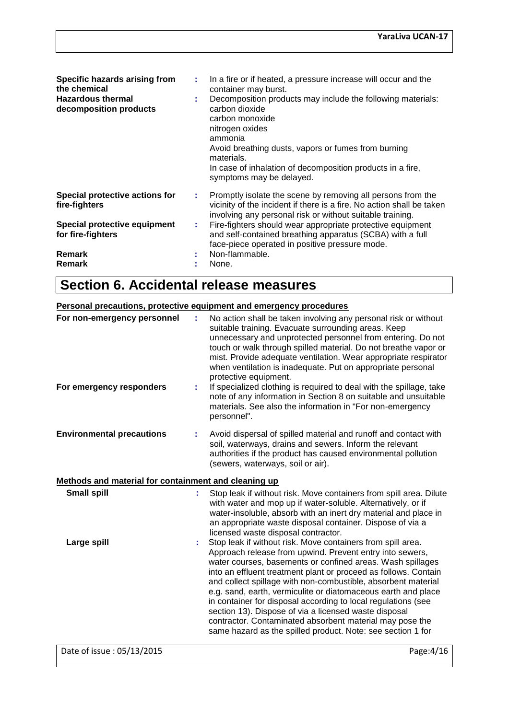| Specific hazards arising from<br>the chemical<br><b>Hazardous thermal</b><br>decomposition products                                    |            | In a fire or if heated, a pressure increase will occur and the<br>container may burst.<br>Decomposition products may include the following materials:<br>carbon dioxide<br>carbon monoxide<br>nitrogen oxides<br>ammonia<br>Avoid breathing dusts, vapors or fumes from burning<br>materials.<br>In case of inhalation of decomposition products in a fire,<br>symptoms may be delayed.                   |
|----------------------------------------------------------------------------------------------------------------------------------------|------------|-----------------------------------------------------------------------------------------------------------------------------------------------------------------------------------------------------------------------------------------------------------------------------------------------------------------------------------------------------------------------------------------------------------|
| Special protective actions for<br>fire-fighters<br>Special protective equipment<br>for fire-fighters<br><b>Remark</b><br><b>Remark</b> | 2. C<br>÷. | Promptly isolate the scene by removing all persons from the<br>vicinity of the incident if there is a fire. No action shall be taken<br>involving any personal risk or without suitable training.<br>Fire-fighters should wear appropriate protective equipment<br>and self-contained breathing apparatus (SCBA) with a full<br>face-piece operated in positive pressure mode.<br>Non-flammable.<br>None. |

# **Section 6. Accidental release measures**

|                                                         | Personal precautions, protective equipment and emergency procedures                                                                                                                                                                                                                                                                                                                                                                                                                                                                                                                                                                             |
|---------------------------------------------------------|-------------------------------------------------------------------------------------------------------------------------------------------------------------------------------------------------------------------------------------------------------------------------------------------------------------------------------------------------------------------------------------------------------------------------------------------------------------------------------------------------------------------------------------------------------------------------------------------------------------------------------------------------|
| For non-emergency personnel<br>For emergency responders | No action shall be taken involving any personal risk or without<br>suitable training. Evacuate surrounding areas. Keep<br>unnecessary and unprotected personnel from entering. Do not<br>touch or walk through spilled material. Do not breathe vapor or<br>mist. Provide adequate ventilation. Wear appropriate respirator<br>when ventilation is inadequate. Put on appropriate personal<br>protective equipment.<br>If specialized clothing is required to deal with the spillage, take<br>note of any information in Section 8 on suitable and unsuitable<br>materials. See also the information in "For non-emergency                      |
|                                                         | personnel".                                                                                                                                                                                                                                                                                                                                                                                                                                                                                                                                                                                                                                     |
| <b>Environmental precautions</b>                        | Avoid dispersal of spilled material and runoff and contact with<br>soil, waterways, drains and sewers. Inform the relevant<br>authorities if the product has caused environmental pollution<br>(sewers, waterways, soil or air).                                                                                                                                                                                                                                                                                                                                                                                                                |
| Methods and material for containment and cleaning up    |                                                                                                                                                                                                                                                                                                                                                                                                                                                                                                                                                                                                                                                 |
| <b>Small spill</b>                                      | Stop leak if without risk. Move containers from spill area. Dilute<br>with water and mop up if water-soluble. Alternatively, or if<br>water-insoluble, absorb with an inert dry material and place in<br>an appropriate waste disposal container. Dispose of via a<br>licensed waste disposal contractor.                                                                                                                                                                                                                                                                                                                                       |
| Large spill                                             | Stop leak if without risk. Move containers from spill area.<br>Approach release from upwind. Prevent entry into sewers,<br>water courses, basements or confined areas. Wash spillages<br>into an effluent treatment plant or proceed as follows. Contain<br>and collect spillage with non-combustible, absorbent material<br>e.g. sand, earth, vermiculite or diatomaceous earth and place<br>in container for disposal according to local regulations (see<br>section 13). Dispose of via a licensed waste disposal<br>contractor. Contaminated absorbent material may pose the<br>same hazard as the spilled product. Note: see section 1 for |
| Date of issue: 05/13/2015                               | Page: 4/16                                                                                                                                                                                                                                                                                                                                                                                                                                                                                                                                                                                                                                      |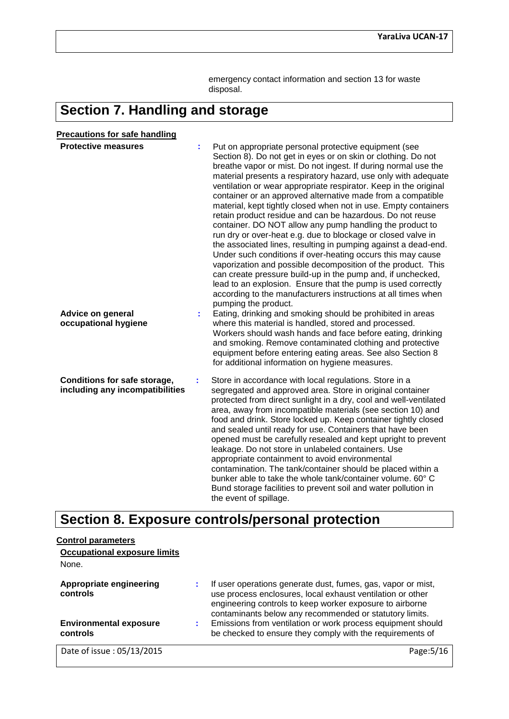emergency contact information and section 13 for waste disposal.

# **Section 7. Handling and storage**

| <b>Precautions for safe handling</b>                                           |    |                                                                                                                                                                                                                                                                                                                                                                                                                                                                                                                                                                                                                                                                                                                                                                                                                                                                                                                                                                                                                                                                                                                                                                                                                                                                                                                                                                                                                                                      |
|--------------------------------------------------------------------------------|----|------------------------------------------------------------------------------------------------------------------------------------------------------------------------------------------------------------------------------------------------------------------------------------------------------------------------------------------------------------------------------------------------------------------------------------------------------------------------------------------------------------------------------------------------------------------------------------------------------------------------------------------------------------------------------------------------------------------------------------------------------------------------------------------------------------------------------------------------------------------------------------------------------------------------------------------------------------------------------------------------------------------------------------------------------------------------------------------------------------------------------------------------------------------------------------------------------------------------------------------------------------------------------------------------------------------------------------------------------------------------------------------------------------------------------------------------------|
| <b>Protective measures</b><br><b>Advice on general</b><br>occupational hygiene |    | Put on appropriate personal protective equipment (see<br>Section 8). Do not get in eyes or on skin or clothing. Do not<br>breathe vapor or mist. Do not ingest. If during normal use the<br>material presents a respiratory hazard, use only with adequate<br>ventilation or wear appropriate respirator. Keep in the original<br>container or an approved alternative made from a compatible<br>material, kept tightly closed when not in use. Empty containers<br>retain product residue and can be hazardous. Do not reuse<br>container. DO NOT allow any pump handling the product to<br>run dry or over-heat e.g. due to blockage or closed valve in<br>the associated lines, resulting in pumping against a dead-end.<br>Under such conditions if over-heating occurs this may cause<br>vaporization and possible decomposition of the product. This<br>can create pressure build-up in the pump and, if unchecked,<br>lead to an explosion. Ensure that the pump is used correctly<br>according to the manufacturers instructions at all times when<br>pumping the product.<br>Eating, drinking and smoking should be prohibited in areas<br>where this material is handled, stored and processed.<br>Workers should wash hands and face before eating, drinking<br>and smoking. Remove contaminated clothing and protective<br>equipment before entering eating areas. See also Section 8<br>for additional information on hygiene measures. |
| <b>Conditions for safe storage,</b><br>including any incompatibilities         | ÷. | Store in accordance with local regulations. Store in a<br>segregated and approved area. Store in original container<br>protected from direct sunlight in a dry, cool and well-ventilated<br>area, away from incompatible materials (see section 10) and<br>food and drink. Store locked up. Keep container tightly closed<br>and sealed until ready for use. Containers that have been<br>opened must be carefully resealed and kept upright to prevent<br>leakage. Do not store in unlabeled containers. Use<br>appropriate containment to avoid environmental<br>contamination. The tank/container should be placed within a<br>bunker able to take the whole tank/container volume. 60° C<br>Bund storage facilities to prevent soil and water pollution in<br>the event of spillage.                                                                                                                                                                                                                                                                                                                                                                                                                                                                                                                                                                                                                                                             |

# **Section 8. Exposure controls/personal protection**

| <b>Control parameters</b>                  |                                                                                                                                                                                                                                                   |
|--------------------------------------------|---------------------------------------------------------------------------------------------------------------------------------------------------------------------------------------------------------------------------------------------------|
| <b>Occupational exposure limits</b>        |                                                                                                                                                                                                                                                   |
| None.                                      |                                                                                                                                                                                                                                                   |
| <b>Appropriate engineering</b><br>controls | If user operations generate dust, fumes, gas, vapor or mist,<br>use process enclosures, local exhaust ventilation or other<br>engineering controls to keep worker exposure to airborne<br>contaminants below any recommended or statutory limits. |
| <b>Environmental exposure</b><br>controls  | Emissions from ventilation or work process equipment should<br>be checked to ensure they comply with the requirements of                                                                                                                          |
| Date of issue: 05/13/2015                  | Page:                                                                                                                                                                                                                                             |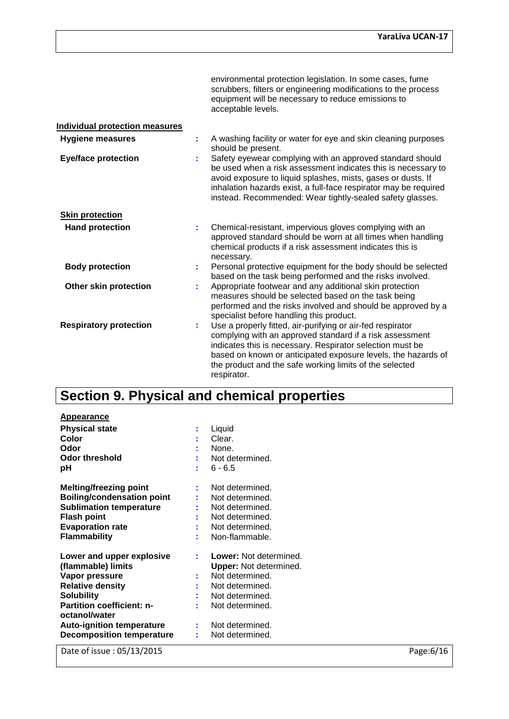|                                       |    | environmental protection legislation. In some cases, fume<br>scrubbers, filters or engineering modifications to the process<br>equipment will be necessary to reduce emissions to<br>acceptable levels.                                                                                                                        |
|---------------------------------------|----|--------------------------------------------------------------------------------------------------------------------------------------------------------------------------------------------------------------------------------------------------------------------------------------------------------------------------------|
| <b>Individual protection measures</b> |    |                                                                                                                                                                                                                                                                                                                                |
| <b>Hygiene measures</b>               | ÷  | A washing facility or water for eye and skin cleaning purposes<br>should be present.                                                                                                                                                                                                                                           |
| <b>Eye/face protection</b>            |    | Safety eyewear complying with an approved standard should<br>be used when a risk assessment indicates this is necessary to<br>avoid exposure to liquid splashes, mists, gases or dusts. If<br>inhalation hazards exist, a full-face respirator may be required<br>instead. Recommended: Wear tightly-sealed safety glasses.    |
| <b>Skin protection</b>                |    |                                                                                                                                                                                                                                                                                                                                |
| <b>Hand protection</b>                | ÷  | Chemical-resistant, impervious gloves complying with an<br>approved standard should be worn at all times when handling<br>chemical products if a risk assessment indicates this is<br>necessary.                                                                                                                               |
| <b>Body protection</b>                | ÷. | Personal protective equipment for the body should be selected<br>based on the task being performed and the risks involved.                                                                                                                                                                                                     |
| <b>Other skin protection</b>          |    | Appropriate footwear and any additional skin protection<br>measures should be selected based on the task being<br>performed and the risks involved and should be approved by a<br>specialist before handling this product.                                                                                                     |
| <b>Respiratory protection</b>         |    | Use a properly fitted, air-purifying or air-fed respirator<br>complying with an approved standard if a risk assessment<br>indicates this is necessary. Respirator selection must be<br>based on known or anticipated exposure levels, the hazards of<br>the product and the safe working limits of the selected<br>respirator. |

# **Section 9. Physical and chemical properties**

| <b>Appearance</b><br><b>Physical state</b><br>Color<br>Odor<br>Odor threshold<br>рH                                                                                                                                                     | t       | Liquid<br>Clear.<br>None.<br>Not determined.<br>$6 - 6.5$                                                                                                                        |
|-----------------------------------------------------------------------------------------------------------------------------------------------------------------------------------------------------------------------------------------|---------|----------------------------------------------------------------------------------------------------------------------------------------------------------------------------------|
| Melting/freezing point<br><b>Boiling/condensation point</b><br><b>Sublimation temperature</b><br><b>Flash point</b><br><b>Evaporation rate</b><br><b>Flammability</b>                                                                   | t.      | Not determined.<br>Not determined.<br>Not determined.<br>Not determined.<br>Not determined.<br>Non-flammable.                                                                    |
| Lower and upper explosive<br>(flammable) limits<br>Vapor pressure<br><b>Relative density</b><br>Solubility<br><b>Partition coefficient: n-</b><br>octanol/water<br><b>Auto-ignition temperature</b><br><b>Decomposition temperature</b> | t.<br>÷ | <b>Lower:</b> Not determined.<br><b>Upper:</b> Not determined.<br>Not determined.<br>Not determined.<br>Not determined.<br>Not determined.<br>Not determined.<br>Not determined. |

Date of issue : 05/13/2015 Page:6/16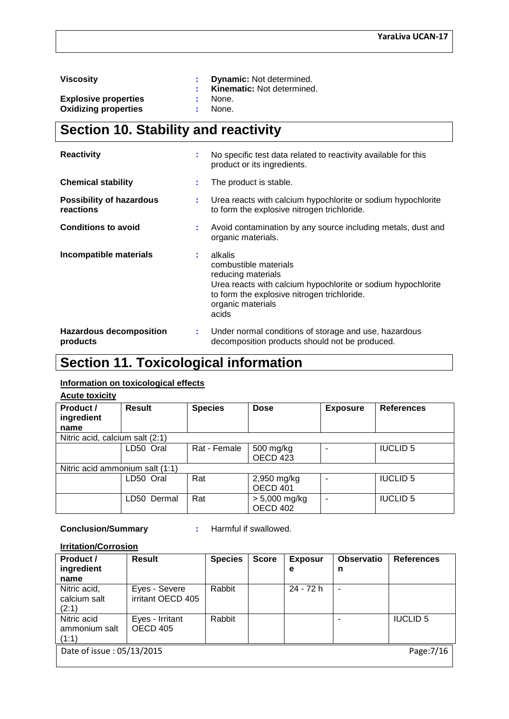**Explosive properties**  $\qquad \qquad : \quad \text{None.}$ **<br>
<b>Oxidizing properties**  $\qquad \qquad : \quad \text{None.}$ **Oxidizing properties** 

**Viscosity : Dynamic:** Not determined. **: Kinematic:** Not determined.

# **Section 10. Stability and reactivity**

| <b>Reactivity</b>                            | t  | No specific test data related to reactivity available for this<br>product or its ingredients.                                                                                                       |
|----------------------------------------------|----|-----------------------------------------------------------------------------------------------------------------------------------------------------------------------------------------------------|
| <b>Chemical stability</b>                    | ÷  | The product is stable.                                                                                                                                                                              |
| <b>Possibility of hazardous</b><br>reactions | ÷  | Urea reacts with calcium hypochlorite or sodium hypochlorite<br>to form the explosive nitrogen trichloride.                                                                                         |
| <b>Conditions to avoid</b>                   | ÷  | Avoid contamination by any source including metals, dust and<br>organic materials.                                                                                                                  |
| Incompatible materials                       | ÷. | alkalis<br>combustible materials<br>reducing materials<br>Urea reacts with calcium hypochlorite or sodium hypochlorite<br>to form the explosive nitrogen trichloride.<br>organic materials<br>acids |
| <b>Hazardous decomposition</b><br>products   | ÷  | Under normal conditions of storage and use, hazardous<br>decomposition products should not be produced.                                                                                             |

# **Section 11. Toxicological information**

#### **Information on toxicological effects**

**Acute toxicity**

| Product /<br>ingredient         | Result      | <b>Species</b> | <b>Dose</b>                 | <b>Exposure</b> | <b>References</b> |
|---------------------------------|-------------|----------------|-----------------------------|-----------------|-------------------|
| name                            |             |                |                             |                 |                   |
| Nitric acid, calcium salt (2:1) |             |                |                             |                 |                   |
|                                 | LD50 Oral   | Rat - Female   | 500 mg/kg<br>OECD 423       |                 | <b>IUCLID 5</b>   |
| Nitric acid ammonium salt (1:1) |             |                |                             |                 |                   |
|                                 | LD50 Oral   | Rat            | 2,950 mg/kg<br>OECD 401     |                 | <b>IUCLID 5</b>   |
|                                 | LD50 Dermal | Rat            | $> 5,000$ mg/kg<br>OECD 402 |                 | <b>IUCLID 5</b>   |

#### **Conclusion/Summary :** Harmful if swallowed.

#### **Irritation/Corrosion**

| Product /<br>ingredient<br>name         | <b>Result</b>                      | <b>Species</b> | <b>Score</b> | <b>Exposur</b><br>е | <b>Observatio</b><br>n | <b>References</b> |
|-----------------------------------------|------------------------------------|----------------|--------------|---------------------|------------------------|-------------------|
| Nitric acid,<br>calcium salt<br>(2:1)   | Eyes - Severe<br>irritant OECD 405 | Rabbit         |              | 24 - 72 h           |                        |                   |
| Nitric acid<br>ammonium salt<br>(1:1)   | Eyes - Irritant<br>OECD 405        | Rabbit         |              |                     |                        | <b>IUCLID 5</b>   |
| Date of issue: 05/13/2015<br>Page: 7/16 |                                    |                |              |                     |                        |                   |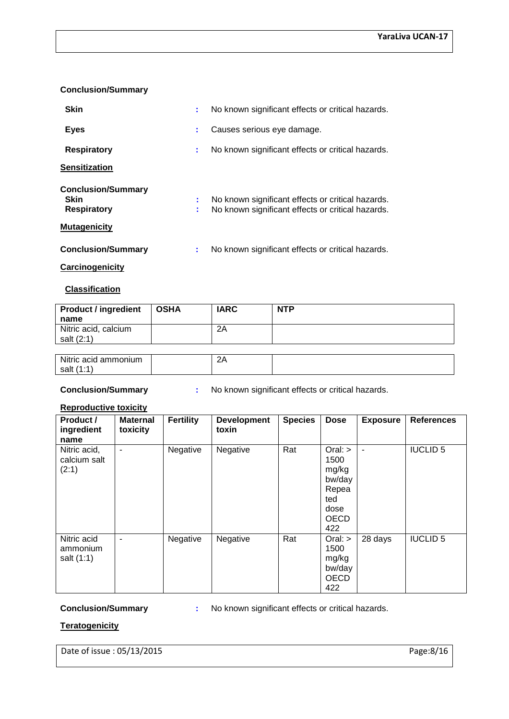#### **Conclusion/Summary**

| <b>Skin</b>                                                                    | ÷      | No known significant effects or critical hazards.                                                      |
|--------------------------------------------------------------------------------|--------|--------------------------------------------------------------------------------------------------------|
| <b>Eyes</b>                                                                    | ÷      | Causes serious eye damage.                                                                             |
| <b>Respiratory</b>                                                             | ÷      | No known significant effects or critical hazards.                                                      |
| <b>Sensitization</b>                                                           |        |                                                                                                        |
| <b>Conclusion/Summary</b><br>Skin<br><b>Respiratory</b><br><b>Mutagenicity</b> | ÷<br>÷ | No known significant effects or critical hazards.<br>No known significant effects or critical hazards. |
| <b>Conclusion/Summary</b>                                                      | ÷      | No known significant effects or critical hazards.                                                      |
| Carcinogenicity                                                                |        |                                                                                                        |

### **Classification**

| <b>Product / ingredient</b><br>name | <b>OSHA</b> | <b>IARC</b> | <b>NTP</b> |
|-------------------------------------|-------------|-------------|------------|
| Nitric acid, calcium<br>salt (2:1)  |             | 2A          |            |
|                                     |             |             |            |
| Nitric acid ammonium<br>salt (1:1)  |             | 2A          |            |

**Conclusion/Summary :** No known significant effects or critical hazards.

#### **Reproductive toxicity**

| Product /<br>ingredient<br>name       | <b>Maternal</b><br>toxicity | <b>Fertility</b> | <b>Development</b><br>toxin | <b>Species</b> | <b>Dose</b>                                                                        | <b>Exposure</b> | <b>References</b> |
|---------------------------------------|-----------------------------|------------------|-----------------------------|----------------|------------------------------------------------------------------------------------|-----------------|-------------------|
| Nitric acid,<br>calcium salt<br>(2:1) | ۰                           | Negative         | Negative                    | Rat            | $Oral:$ ><br>1500<br>mg/kg<br>bw/day<br>Repea<br>ted<br>dose<br><b>OECD</b><br>422 | ۰               | <b>IUCLID 5</b>   |
| Nitric acid<br>ammonium<br>salt (1:1) | $\blacksquare$              | Negative         | Negative                    | Rat            | $Oral:$ ><br>1500<br>mg/kg<br>bw/day<br><b>OECD</b><br>422                         | 28 days         | <b>IUCLID 5</b>   |

**Conclusion/Summary :** No known significant effects or critical hazards.

#### **Teratogenicity**

Date of issue : 05/13/2015 Page:8/16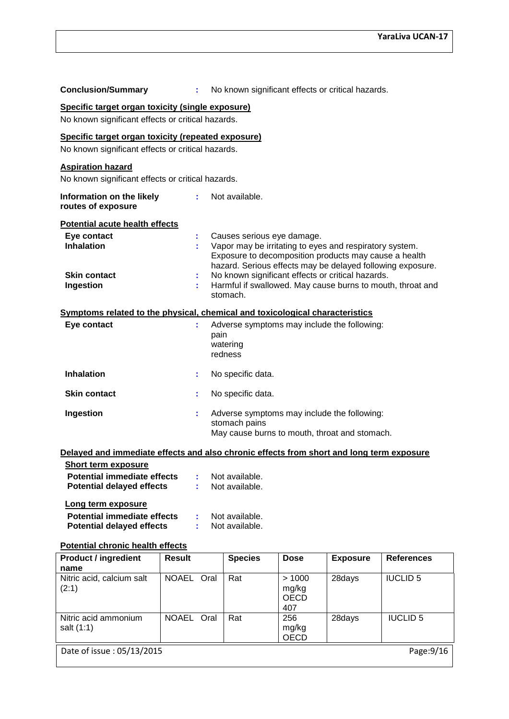| <b>Conclusion/Summary</b>                                                                               | ÷. | No known significant effects or critical hazards.                                                                                                                                                                                                                 |  |  |  |  |
|---------------------------------------------------------------------------------------------------------|----|-------------------------------------------------------------------------------------------------------------------------------------------------------------------------------------------------------------------------------------------------------------------|--|--|--|--|
| Specific target organ toxicity (single exposure)<br>No known significant effects or critical hazards.   |    |                                                                                                                                                                                                                                                                   |  |  |  |  |
| Specific target organ toxicity (repeated exposure)<br>No known significant effects or critical hazards. |    |                                                                                                                                                                                                                                                                   |  |  |  |  |
| <b>Aspiration hazard</b><br>No known significant effects or critical hazards.                           |    |                                                                                                                                                                                                                                                                   |  |  |  |  |
| Information on the likely<br>routes of exposure                                                         | ÷. | Not available.                                                                                                                                                                                                                                                    |  |  |  |  |
| <b>Potential acute health effects</b>                                                                   |    |                                                                                                                                                                                                                                                                   |  |  |  |  |
| Eye contact<br><b>Inhalation</b><br><b>Skin contact</b>                                                 | ÷. | Causes serious eye damage.<br>Vapor may be irritating to eyes and respiratory system.<br>Exposure to decomposition products may cause a health<br>hazard. Serious effects may be delayed following exposure.<br>No known significant effects or critical hazards. |  |  |  |  |
| Ingestion                                                                                               |    | Harmful if swallowed. May cause burns to mouth, throat and<br>stomach.                                                                                                                                                                                            |  |  |  |  |
|                                                                                                         |    | Symptoms related to the physical, chemical and toxicological characteristics                                                                                                                                                                                      |  |  |  |  |
| Eye contact                                                                                             |    | Adverse symptoms may include the following:<br>pain<br>watering<br>redness                                                                                                                                                                                        |  |  |  |  |
| <b>Inhalation</b>                                                                                       | ÷. | No specific data.                                                                                                                                                                                                                                                 |  |  |  |  |
| <b>Skin contact</b>                                                                                     | ÷  | No specific data.                                                                                                                                                                                                                                                 |  |  |  |  |
| Ingestion                                                                                               |    | Adverse symptoms may include the following:<br>stomach pains<br>May cause burns to mouth, throat and stomach.                                                                                                                                                     |  |  |  |  |

#### **Delayed and immediate effects and also chronic effects from short and long term exposure**

| <b>Short term exposure</b>         |                |
|------------------------------------|----------------|
| Potential immediate effects        | Not available. |
| <b>Potential delayed effects</b>   | Not available. |
| Long term exposure                 |                |
| <b>Potential immediate effects</b> | Not available  |

| <b>Potential immediate effects</b> | Not available. |
|------------------------------------|----------------|
| <b>Potential delayed effects</b>   | Not available. |

#### **Potential chronic health effects**

| <b>Product / ingredient</b><br>name    | <b>Result</b>        | <b>Species</b> | <b>Dose</b>                          | <b>Exposure</b> | <b>References</b> |  |
|----------------------------------------|----------------------|----------------|--------------------------------------|-----------------|-------------------|--|
| Nitric acid, calcium salt<br>(2:1)     | <b>NOAEL</b><br>Oral | Rat            | >1000<br>mg/kg<br><b>OECD</b><br>407 | 28days          | <b>IUCLID 5</b>   |  |
| Nitric acid ammonium<br>salt (1:1)     | <b>NOAEL</b><br>Oral | Rat            | 256<br>mg/kg<br><b>OECD</b>          | 28days          | <b>IUCLID 5</b>   |  |
| Date of issue: 05/13/2015<br>Page:9/16 |                      |                |                                      |                 |                   |  |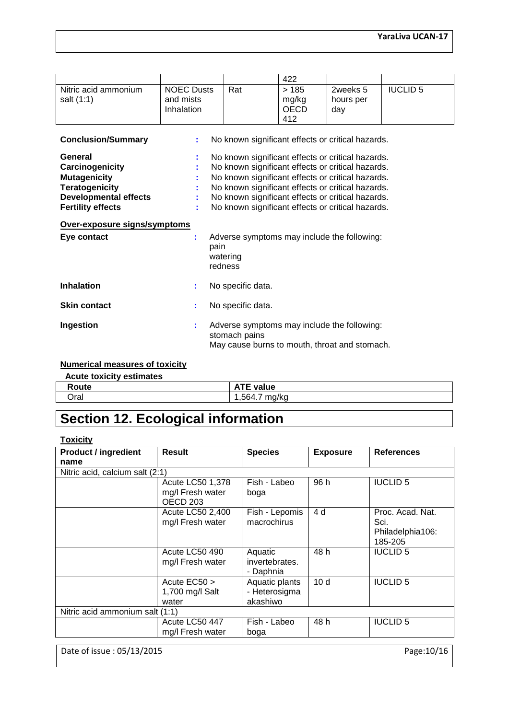|                                    |                                              |                                                                                                               | 422                                 |                              |                 |  |  |
|------------------------------------|----------------------------------------------|---------------------------------------------------------------------------------------------------------------|-------------------------------------|------------------------------|-----------------|--|--|
| Nitric acid ammonium<br>salt (1:1) | <b>NOEC Dusts</b><br>and mists<br>Inhalation | Rat                                                                                                           | >185<br>mg/kg<br><b>OECD</b><br>412 | 2weeks 5<br>hours per<br>day | <b>IUCLID 5</b> |  |  |
| <b>Conclusion/Summary</b>          | ÷                                            | No known significant effects or critical hazards.                                                             |                                     |                              |                 |  |  |
| General                            |                                              | No known significant effects or critical hazards.                                                             |                                     |                              |                 |  |  |
| Carcinogenicity                    |                                              | No known significant effects or critical hazards.                                                             |                                     |                              |                 |  |  |
| <b>Mutagenicity</b>                |                                              | No known significant effects or critical hazards.                                                             |                                     |                              |                 |  |  |
| <b>Teratogenicity</b>              |                                              | No known significant effects or critical hazards.                                                             |                                     |                              |                 |  |  |
| <b>Developmental effects</b>       |                                              | No known significant effects or critical hazards.                                                             |                                     |                              |                 |  |  |
| <b>Fertility effects</b>           |                                              | No known significant effects or critical hazards.                                                             |                                     |                              |                 |  |  |
| Over-exposure signs/symptoms       |                                              |                                                                                                               |                                     |                              |                 |  |  |
| Eye contact                        | t<br>pain                                    | Adverse symptoms may include the following:<br>watering<br>redness                                            |                                     |                              |                 |  |  |
| <b>Inhalation</b>                  | ÷                                            | No specific data.                                                                                             |                                     |                              |                 |  |  |
| <b>Skin contact</b>                | ÷.                                           | No specific data.                                                                                             |                                     |                              |                 |  |  |
| Ingestion                          | ÷.                                           | Adverse symptoms may include the following:<br>stomach pains<br>May cause burns to mouth, throat and stomach. |                                     |                              |                 |  |  |

#### **Numerical measures of toxicity**

| <b>Acute toxicity estimates</b> |                  |
|---------------------------------|------------------|
| Route                           | <b>ATE value</b> |
| Oral                            | .564.7<br>`ma/ka |

# **Section 12. Ecological information**

#### **Toxicity**

| <b>Product / ingredient</b>     | Result                                                      | <b>Species</b>                              | <b>Exposure</b> | <b>References</b>                                       |
|---------------------------------|-------------------------------------------------------------|---------------------------------------------|-----------------|---------------------------------------------------------|
| name                            |                                                             |                                             |                 |                                                         |
| Nitric acid, calcium salt (2:1) |                                                             |                                             |                 |                                                         |
|                                 | Acute LC50 1,378<br>mg/l Fresh water<br>OECD <sub>203</sub> | Fish - Labeo<br>boga                        | 96 h            | <b>IUCLID 5</b>                                         |
|                                 | Acute LC50 2,400<br>mg/l Fresh water                        | Fish - Lepomis<br>macrochirus               | 4 d             | Proc. Acad. Nat.<br>Sci.<br>Philadelphia106:<br>185-205 |
|                                 | Acute LC50 490<br>mg/I Fresh water                          | Aquatic<br>invertebrates.<br>- Daphnia      | 48 h            | <b>IUCLID 5</b>                                         |
|                                 | Acute EC50 ><br>1,700 mg/l Salt<br>water                    | Aquatic plants<br>- Heterosigma<br>akashiwo | 10 <sub>d</sub> | <b>IUCLID 5</b>                                         |
| Nitric acid ammonium salt (1:1) |                                                             |                                             |                 |                                                         |
|                                 | Acute LC50 447<br>mg/I Fresh water                          | Fish - Labeo<br>boga                        | 48 h            | <b>IUCLID 5</b>                                         |

Date of issue : 05/13/2015 Page:10/16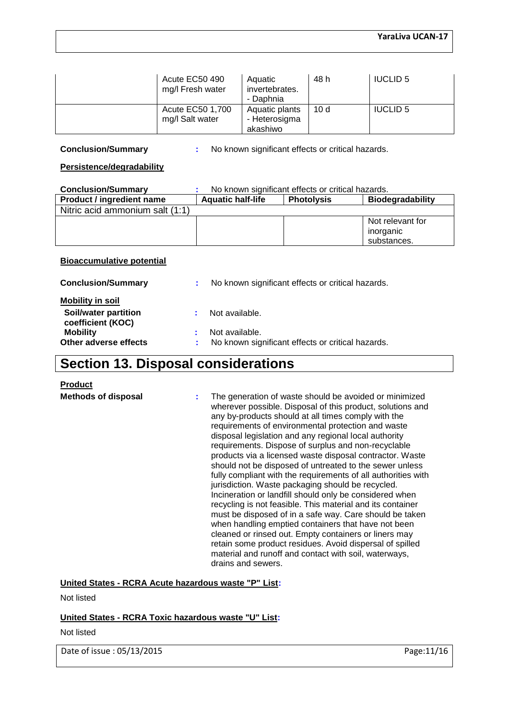| Acute EC50 490<br>mg/l Fresh water  | Aquatic<br>invertebrates.<br>- Daphnia      | 48 h | <b>IUCLID 5</b> |
|-------------------------------------|---------------------------------------------|------|-----------------|
| Acute EC50 1,700<br>mg/l Salt water | Aquatic plants<br>- Heterosigma<br>akashiwo | 10 d | <b>IUCLID 5</b> |

**Conclusion/Summary :** No known significant effects or critical hazards.

#### **Persistence/degradability**

| <b>Conclusion/Summary</b>        |                          | No known significant effects or critical hazards. |                         |
|----------------------------------|--------------------------|---------------------------------------------------|-------------------------|
| <b>Product / ingredient name</b> | <b>Aquatic half-life</b> | <b>Photolysis</b>                                 | <b>Biodegradability</b> |
| Nitric acid ammonium salt (1:1)  |                          |                                                   |                         |
|                                  |                          |                                                   | Not relevant for        |
|                                  |                          |                                                   | inorganic               |
|                                  |                          |                                                   | substances.             |

#### **Bioaccumulative potential**

| <b>Conclusion/Summary</b>                 | No known significant effects or critical hazards. |
|-------------------------------------------|---------------------------------------------------|
| <b>Mobility in soil</b>                   |                                                   |
| Soil/water partition<br>coefficient (KOC) | Not available.                                    |
| <b>Mobility</b>                           | Not available.                                    |
| Other adverse effects                     | No known significant effects or critical hazards. |

## **Section 13. Disposal considerations**

#### **Product**

**Methods of disposal :** The generation of waste should be avoided or minimized wherever possible. Disposal of this product, solutions and any by-products should at all times comply with the requirements of environmental protection and waste disposal legislation and any regional local authority requirements. Dispose of surplus and non-recyclable products via a licensed waste disposal contractor. Waste should not be disposed of untreated to the sewer unless fully compliant with the requirements of all authorities with jurisdiction. Waste packaging should be recycled. Incineration or landfill should only be considered when recycling is not feasible. This material and its container must be disposed of in a safe way. Care should be taken when handling emptied containers that have not been cleaned or rinsed out. Empty containers or liners may retain some product residues. Avoid dispersal of spilled material and runoff and contact with soil, waterways, drains and sewers.

**United States - RCRA Acute hazardous waste "P" List:**

Not listed

#### **United States - RCRA Toxic hazardous waste "U" List:**

Not listed

Date of issue : 05/13/2015 Page:11/16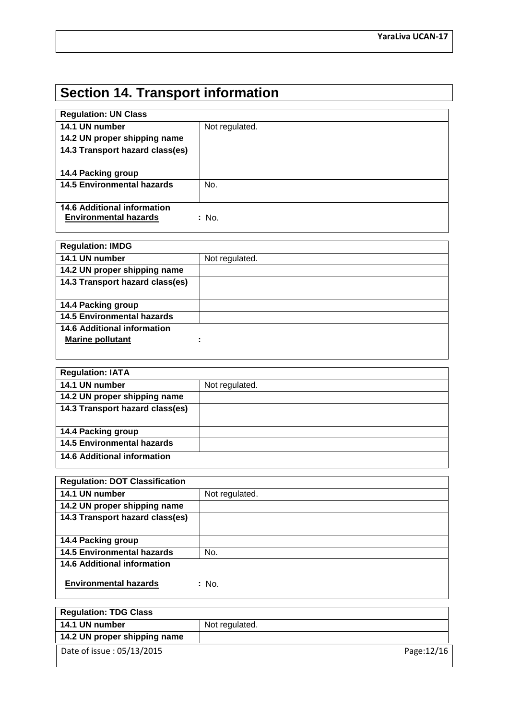# **Section 14. Transport information**

| <b>Regulation: UN Class</b>        |                |
|------------------------------------|----------------|
| 14.1 UN number                     | Not regulated. |
| 14.2 UN proper shipping name       |                |
| 14.3 Transport hazard class(es)    |                |
|                                    |                |
| 14.4 Packing group                 |                |
| <b>14.5 Environmental hazards</b>  | No.            |
|                                    |                |
| <b>14.6 Additional information</b> |                |
| <b>Environmental hazards</b>       | : No.          |

| <b>Regulation: IMDG</b>           |                |
|-----------------------------------|----------------|
| 14.1 UN number                    | Not regulated. |
| 14.2 UN proper shipping name      |                |
| 14.3 Transport hazard class(es)   |                |
|                                   |                |
| 14.4 Packing group                |                |
| <b>14.5 Environmental hazards</b> |                |
| 14.6 Additional information       |                |
| <b>Marine pollutant</b>           |                |
|                                   |                |

| <b>Regulation: IATA</b>           |                |
|-----------------------------------|----------------|
| 14.1 UN number                    | Not regulated. |
| 14.2 UN proper shipping name      |                |
| 14.3 Transport hazard class(es)   |                |
|                                   |                |
| 14.4 Packing group                |                |
| <b>14.5 Environmental hazards</b> |                |
| 14.6 Additional information       |                |

| <b>Regulation: DOT Classification</b> |                |
|---------------------------------------|----------------|
| 14.1 UN number                        | Not regulated. |
| 14.2 UN proper shipping name          |                |
| 14.3 Transport hazard class(es)       |                |
|                                       |                |
| 14.4 Packing group                    |                |
| <b>14.5 Environmental hazards</b>     | No.            |
| <b>14.6 Additional information</b>    |                |
| <b>Environmental hazards</b>          | : No.          |

| <b>Regulation: TDG Class</b> |                |
|------------------------------|----------------|
| 14.1 UN number               | Not regulated. |
| 14.2 UN proper shipping name |                |
| Date of issue: 05/13/2015    | Page:12/16     |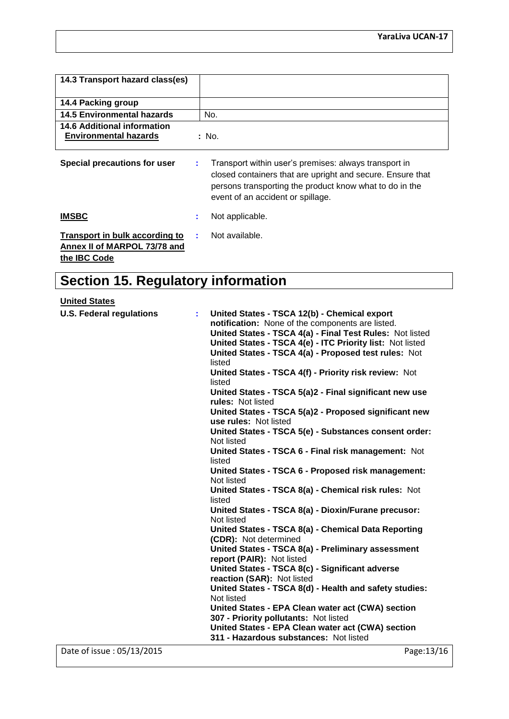| 14.3 Transport hazard class(es)                                                       |                                                                                                                                                                                                                           |
|---------------------------------------------------------------------------------------|---------------------------------------------------------------------------------------------------------------------------------------------------------------------------------------------------------------------------|
| 14.4 Packing group                                                                    |                                                                                                                                                                                                                           |
| 14.5 Environmental hazards                                                            | No.                                                                                                                                                                                                                       |
| 14.6 Additional information<br><b>Environmental hazards</b>                           | : No.                                                                                                                                                                                                                     |
| Special precautions for user                                                          | Transport within user's premises: always transport in<br>÷.<br>closed containers that are upright and secure. Ensure that<br>persons transporting the product know what to do in the<br>event of an accident or spillage. |
| <b>IMSBC</b>                                                                          | Not applicable.                                                                                                                                                                                                           |
| Transport in bulk according to<br>Annex II of MARPOL 73/78 and<br>the <b>IBC</b> Code | Not available.                                                                                                                                                                                                            |

# **Section 15. Regulatory information**

## **United States**

| <b>U.S. Federal regulations</b> | United States - TSCA 12(b) - Chemical export<br>notification: None of the components are listed.<br>United States - TSCA 4(a) - Final Test Rules: Not listed<br>United States - TSCA 4(e) - ITC Priority list: Not listed<br>United States - TSCA 4(a) - Proposed test rules: Not |
|---------------------------------|-----------------------------------------------------------------------------------------------------------------------------------------------------------------------------------------------------------------------------------------------------------------------------------|
|                                 | listed                                                                                                                                                                                                                                                                            |
|                                 | United States - TSCA 4(f) - Priority risk review: Not<br>listed                                                                                                                                                                                                                   |
|                                 | United States - TSCA 5(a)2 - Final significant new use<br>rules: Not listed                                                                                                                                                                                                       |
|                                 | United States - TSCA 5(a)2 - Proposed significant new<br>use rules: Not listed                                                                                                                                                                                                    |
|                                 | United States - TSCA 5(e) - Substances consent order:<br>Not listed                                                                                                                                                                                                               |
|                                 | United States - TSCA 6 - Final risk management: Not<br>listed                                                                                                                                                                                                                     |
|                                 | United States - TSCA 6 - Proposed risk management:<br>Not listed                                                                                                                                                                                                                  |
|                                 | United States - TSCA 8(a) - Chemical risk rules: Not<br>listed                                                                                                                                                                                                                    |
|                                 | United States - TSCA 8(a) - Dioxin/Furane precusor:<br>Not listed                                                                                                                                                                                                                 |
|                                 | United States - TSCA 8(a) - Chemical Data Reporting<br>(CDR): Not determined                                                                                                                                                                                                      |
|                                 | United States - TSCA 8(a) - Preliminary assessment<br>report (PAIR): Not listed                                                                                                                                                                                                   |
|                                 | United States - TSCA 8(c) - Significant adverse                                                                                                                                                                                                                                   |
|                                 | reaction (SAR): Not listed                                                                                                                                                                                                                                                        |
|                                 | United States - TSCA 8(d) - Health and safety studies:                                                                                                                                                                                                                            |
|                                 | Not listed                                                                                                                                                                                                                                                                        |
|                                 | United States - EPA Clean water act (CWA) section                                                                                                                                                                                                                                 |
|                                 | 307 - Priority pollutants: Not listed                                                                                                                                                                                                                                             |
|                                 | United States - EPA Clean water act (CWA) section                                                                                                                                                                                                                                 |
|                                 | 311 - Hazardous substances: Not listed                                                                                                                                                                                                                                            |
| Date of issue: 05/13/2015       | Page: 13/16                                                                                                                                                                                                                                                                       |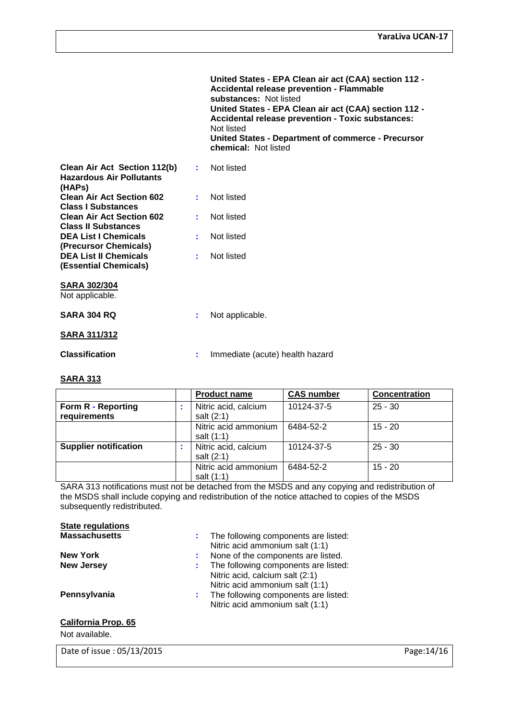|                                                                                |    | United States - EPA Clean air act (CAA) section 112 -<br><b>Accidental release prevention - Flammable</b><br>substances: Not listed<br>United States - EPA Clean air act (CAA) section 112 -<br><b>Accidental release prevention - Toxic substances:</b><br>Not listed<br>United States - Department of commerce - Precursor<br>chemical: Not listed |
|--------------------------------------------------------------------------------|----|------------------------------------------------------------------------------------------------------------------------------------------------------------------------------------------------------------------------------------------------------------------------------------------------------------------------------------------------------|
| Clean Air Act Section 112(b)<br><b>Hazardous Air Pollutants</b><br>(HAPs)      | ÷. | Not listed                                                                                                                                                                                                                                                                                                                                           |
| <b>Clean Air Act Section 602</b><br><b>Class I Substances</b>                  | ÷. | Not listed                                                                                                                                                                                                                                                                                                                                           |
| <b>Clean Air Act Section 602</b><br><b>Class II Substances</b>                 |    | Not listed                                                                                                                                                                                                                                                                                                                                           |
| <b>DEA List I Chemicals</b>                                                    |    | Not listed                                                                                                                                                                                                                                                                                                                                           |
| (Precursor Chemicals)<br><b>DEA List II Chemicals</b><br>(Essential Chemicals) | ÷  | Not listed                                                                                                                                                                                                                                                                                                                                           |
| <b>SARA 302/304</b><br>Not applicable.                                         |    |                                                                                                                                                                                                                                                                                                                                                      |
| <b>SARA 304 RQ</b>                                                             |    | Not applicable.                                                                                                                                                                                                                                                                                                                                      |
| <u>SARA 311/312</u>                                                            |    |                                                                                                                                                                                                                                                                                                                                                      |
| <b>Classification</b>                                                          |    | Immediate (acute) health hazard                                                                                                                                                                                                                                                                                                                      |
|                                                                                |    |                                                                                                                                                                                                                                                                                                                                                      |

#### **SARA 313**

|                                    | <b>Product name</b>                | <b>CAS number</b> | <b>Concentration</b> |
|------------------------------------|------------------------------------|-------------------|----------------------|
| Form R - Reporting<br>requirements | Nitric acid, calcium<br>salt (2:1) | 10124-37-5        | $25 - 30$            |
|                                    | Nitric acid ammonium<br>salt (1:1) | 6484-52-2         | $15 - 20$            |
| <b>Supplier notification</b>       | Nitric acid, calcium<br>salt (2:1) | 10124-37-5        | $25 - 30$            |
|                                    | Nitric acid ammonium<br>salt (1:1) | 6484-52-2         | $15 - 20$            |

SARA 313 notifications must not be detached from the MSDS and any copying and redistribution of the MSDS shall include copying and redistribution of the notice attached to copies of the MSDS subsequently redistributed.

| <b>State regulations</b> |  |
|--------------------------|--|
| <b>Massachusetts</b>     |  |

| <b>Massachusetts</b> | The following components are listed: |
|----------------------|--------------------------------------|
|                      | Nitric acid ammonium salt (1:1)      |
| <b>New York</b>      | None of the components are listed.   |
| <b>New Jersey</b>    | The following components are listed: |
|                      | Nitric acid, calcium salt (2:1)      |
|                      | Nitric acid ammonium salt (1:1)      |
| Pennsylvania         | The following components are listed: |
|                      | Nitric acid ammonium salt (1:1)      |
| California Dran, CE  |                                      |

#### **California Prop. 65**

Not available.

Date of issue : 05/13/2015 Page: 14/16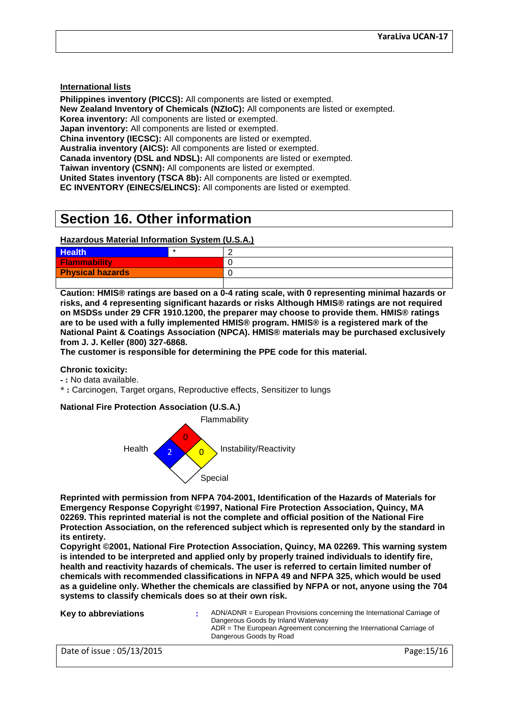**International lists**

**Philippines inventory (PICCS):** All components are listed or exempted. **New Zealand Inventory of Chemicals (NZIoC):** All components are listed or exempted.

**Korea inventory:** All components are listed or exempted.

**Japan inventory:** All components are listed or exempted.

**China inventory (IECSC):** All components are listed or exempted.

**Australia inventory (AICS):** All components are listed or exempted.

**Canada inventory (DSL and NDSL):** All components are listed or exempted.

**Taiwan inventory (CSNN):** All components are listed or exempted.

**United States inventory (TSCA 8b):** All components are listed or exempted.

**EC INVENTORY (EINECS/ELINCS):** All components are listed or exempted.

## **Section 16. Other information**

#### **Hazardous Material Information System (U.S.A.)**

| <b>Health</b>           | - |
|-------------------------|---|
| <b>Flammability</b>     |   |
| <b>Physical hazards</b> |   |
|                         |   |

**Caution: HMIS® ratings are based on a 0-4 rating scale, with 0 representing minimal hazards or risks, and 4 representing significant hazards or risks Although HMIS® ratings are not required on MSDSs under 29 CFR 1910.1200, the preparer may choose to provide them. HMIS® ratings are to be used with a fully implemented HMIS® program. HMIS® is a registered mark of the National Paint & Coatings Association (NPCA). HMIS® materials may be purchased exclusively from J. J. Keller (800) 327-6868.**

**The customer is responsible for determining the PPE code for this material.**

#### **Chronic toxicity:**

- **- :** No data available.
- **\* :** Carcinogen, Target organs, Reproductive effects, Sensitizer to lungs

#### **National Fire Protection Association (U.S.A.)**



**Reprinted with permission from NFPA 704-2001, Identification of the Hazards of Materials for Emergency Response Copyright ©1997, National Fire Protection Association, Quincy, MA 02269. This reprinted material is not the complete and official position of the National Fire Protection Association, on the referenced subject which is represented only by the standard in its entirety.**

**Copyright ©2001, National Fire Protection Association, Quincy, MA 02269. This warning system is intended to be interpreted and applied only by properly trained individuals to identify fire, health and reactivity hazards of chemicals. The user is referred to certain limited number of chemicals with recommended classifications in NFPA 49 and NFPA 325, which would be used as a guideline only. Whether the chemicals are classified by NFPA or not, anyone using the 704 systems to classify chemicals does so at their own risk.**

| Key to abbreviations      | $ADN/ADNR = European Provisions concerning the International Carriage of$<br>Dangerous Goods by Inland Waterway<br>ADR = The European Agreement concerning the International Carriage of<br>Dangerous Goods by Road |
|---------------------------|---------------------------------------------------------------------------------------------------------------------------------------------------------------------------------------------------------------------|
| Date of issue: 05/13/2015 | Page: 15/16                                                                                                                                                                                                         |